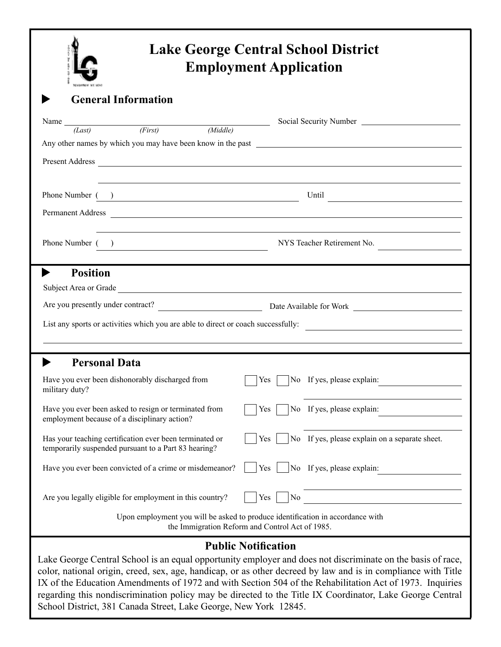| <b>General Information</b>                                                                                      |                                                                                                                                                                                                                                |
|-----------------------------------------------------------------------------------------------------------------|--------------------------------------------------------------------------------------------------------------------------------------------------------------------------------------------------------------------------------|
| Name $\frac{1}{(Last)}$ (First) (Middle)                                                                        |                                                                                                                                                                                                                                |
|                                                                                                                 |                                                                                                                                                                                                                                |
|                                                                                                                 | Phone Number ( ) Until Until Until Until Until Until Until Until Until Until Until Until Until Until Until Until Until Until Until Until Until Until Until Until Until Until Until Until Until Until Until Until Until Until U |
|                                                                                                                 | Permanent Address                                                                                                                                                                                                              |
|                                                                                                                 | Phone Number ( ) NYS Teacher Retirement No.                                                                                                                                                                                    |
| <b>Position</b>                                                                                                 |                                                                                                                                                                                                                                |
|                                                                                                                 |                                                                                                                                                                                                                                |
|                                                                                                                 | Subject Area or Grade New York Changes and the Changes of the Changes of the Changes of the Changes of the Changes of the Changes of the Changes of the Changes of the Changes of the Changes of the Changes of the Changes of |
|                                                                                                                 | List any sports or activities which you are able to direct or coach successfully:                                                                                                                                              |
| <b>Personal Data</b><br>Have you ever been dishonorably discharged from<br>military duty?                       | Yes       No If yes, please explain:                                                                                                                                                                                           |
| Have you ever been asked to resign or terminated from<br>employment because of a disciplinary action?           | No If yes, please explain:<br>Yes                                                                                                                                                                                              |
| Has your teaching certification ever been terminated or<br>temporarily suspended pursuant to a Part 83 hearing? | No If yes, please explain on a separate sheet.<br>Yes                                                                                                                                                                          |
| Have you ever been convicted of a crime or misdemeanor?                                                         | No If yes, please explain:<br>Yes                                                                                                                                                                                              |

## **Public Notification**

Lake George Central School is an equal opportunity employer and does not discriminate on the basis of race, color, national origin, creed, sex, age, handicap, or as other decreed by law and is in compliance with Title IX of the Education Amendments of 1972 and with Section 504 of the Rehabilitation Act of 1973. Inquiries regarding this nondiscrimination policy may be directed to the Title IX Coordinator, Lake George Central School District, 381 Canada Street, Lake George, New York 12845.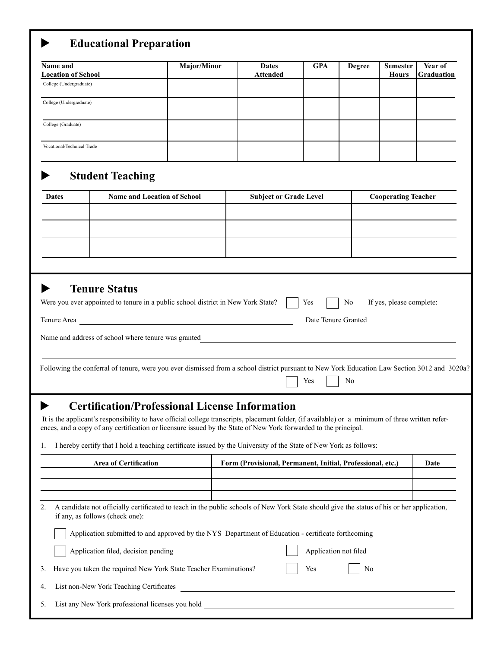## **Educational Preparation**

| Name and<br><b>Location of School</b>              |                                                                                                                                                                                                                                                                                                                              | <b>Major/Minor</b> | <b>Dates</b><br><b>Attended</b>                            | <b>GPA</b>            | <b>Degree</b> | <b>Semester</b><br><b>Hours</b> | Year of<br><b>Graduation</b> |  |
|----------------------------------------------------|------------------------------------------------------------------------------------------------------------------------------------------------------------------------------------------------------------------------------------------------------------------------------------------------------------------------------|--------------------|------------------------------------------------------------|-----------------------|---------------|---------------------------------|------------------------------|--|
| College (Undergraduate)                            |                                                                                                                                                                                                                                                                                                                              |                    |                                                            |                       |               |                                 |                              |  |
| College (Undergraduate)                            |                                                                                                                                                                                                                                                                                                                              |                    |                                                            |                       |               |                                 |                              |  |
| College (Graduate)                                 |                                                                                                                                                                                                                                                                                                                              |                    |                                                            |                       |               |                                 |                              |  |
| Vocational/Technical Trade                         |                                                                                                                                                                                                                                                                                                                              |                    |                                                            |                       |               |                                 |                              |  |
|                                                    | <b>Student Teaching</b>                                                                                                                                                                                                                                                                                                      |                    |                                                            |                       |               |                                 |                              |  |
| <b>Name and Location of School</b><br><b>Dates</b> |                                                                                                                                                                                                                                                                                                                              |                    | <b>Subject or Grade Level</b>                              |                       |               | <b>Cooperating Teacher</b>      |                              |  |
|                                                    |                                                                                                                                                                                                                                                                                                                              |                    |                                                            |                       |               |                                 |                              |  |
|                                                    |                                                                                                                                                                                                                                                                                                                              |                    |                                                            |                       |               |                                 |                              |  |
|                                                    |                                                                                                                                                                                                                                                                                                                              |                    |                                                            |                       |               |                                 |                              |  |
|                                                    |                                                                                                                                                                                                                                                                                                                              |                    |                                                            |                       |               |                                 |                              |  |
|                                                    | Were you ever appointed to tenure in a public school district in New York State?<br><u> 1989 - Johann Stoff, deutscher Stoff, der Stoff, der Stoff, der Stoff, der Stoff, der Stoff, der Stoff, der S</u><br>Name and address of school where tenure was granted                                                             |                    |                                                            | Yes                   | No            | If yes, please complete:        | Date Tenure Granted          |  |
|                                                    | Following the conferral of tenure, were you ever dismissed from a school district pursuant to New York Education Law Section 3012 and 3020a?                                                                                                                                                                                 |                    | <u> 1980 - John Stein, Amerikaansk politiker (</u>         | Yes                   | No            |                                 |                              |  |
| Tenure Area                                        | <b>Certification/Professional License Information</b><br>It is the applicant's responsibility to have official college transcripts, placement folder, (if available) or a minimum of three written refer-<br>ences, and a copy of any certification or licensure issued by the State of New York forwarded to the principal. |                    |                                                            |                       |               |                                 |                              |  |
|                                                    | I hereby certify that I hold a teaching certificate issued by the University of the State of New York as follows:                                                                                                                                                                                                            |                    |                                                            |                       |               |                                 |                              |  |
| Ι.                                                 | <b>Area of Certification</b>                                                                                                                                                                                                                                                                                                 |                    | Form (Provisional, Permanent, Initial, Professional, etc.) |                       |               |                                 | Date                         |  |
|                                                    |                                                                                                                                                                                                                                                                                                                              |                    |                                                            |                       |               |                                 |                              |  |
|                                                    | A candidate not officially certificated to teach in the public schools of New York State should give the status of his or her application,<br>if any, as follows (check one):                                                                                                                                                |                    |                                                            |                       |               |                                 |                              |  |
|                                                    | Application submitted to and approved by the NYS Department of Education - certificate forthcoming                                                                                                                                                                                                                           |                    |                                                            |                       |               |                                 |                              |  |
|                                                    | Application filed, decision pending                                                                                                                                                                                                                                                                                          |                    |                                                            | Application not filed |               |                                 |                              |  |
| 2.<br>3.                                           | Have you taken the required New York State Teacher Examinations?                                                                                                                                                                                                                                                             |                    |                                                            | Yes                   | No            |                                 |                              |  |

5. List any New York professional licenses you hold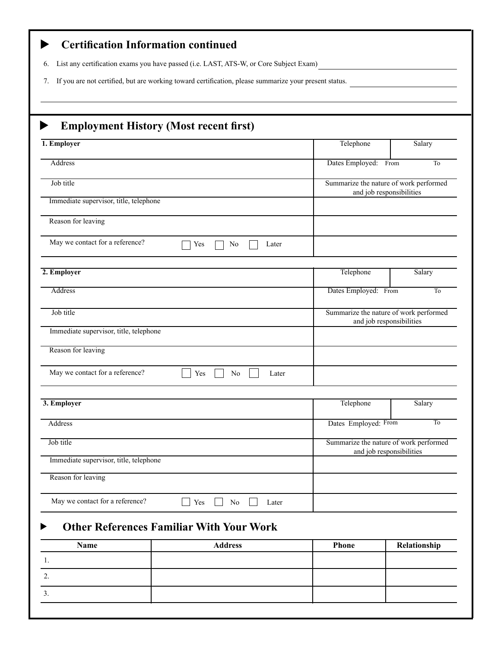| List any certification exams you have passed (i.e. LAST, ATS-W, or Core Subject Exam)<br>6.                 |                                                                    |                |
|-------------------------------------------------------------------------------------------------------------|--------------------------------------------------------------------|----------------|
| If you are not certified, but are working toward certification, please summarize your present status.<br>7. |                                                                    |                |
| <b>Employment History (Most recent first)</b>                                                               |                                                                    |                |
| 1. Employer                                                                                                 | Telephone                                                          | Salary         |
| Address                                                                                                     | Dates Employed: From                                               | To             |
| Job title                                                                                                   | Summarize the nature of work performed<br>and job responsibilities |                |
| Immediate supervisor, title, telephone                                                                      |                                                                    |                |
| Reason for leaving                                                                                          |                                                                    |                |
| May we contact for a reference?<br>Yes<br>N <sub>0</sub><br>Later                                           |                                                                    |                |
| 2. Employer                                                                                                 | Telephone                                                          | Salary         |
| Address                                                                                                     | Dates Employed: From                                               | T <sub>o</sub> |
| Job title                                                                                                   | Summarize the nature of work performed<br>and job responsibilities |                |
| Immediate supervisor, title, telephone                                                                      |                                                                    |                |
| Reason for leaving                                                                                          |                                                                    |                |
| May we contact for a reference?<br>Yes<br>N <sub>0</sub><br>Later                                           |                                                                    |                |
| 3. Employer                                                                                                 | Telephone                                                          | Salary         |
| Address                                                                                                     | Dates Employed: From                                               | To             |
| Job title                                                                                                   | Summarize the nature of work performed<br>and job responsibilities |                |
| Immediate supervisor, title, telephone                                                                      |                                                                    |                |
| Reason for leaving                                                                                          |                                                                    |                |
| May we contact for a reference?<br>Yes<br>$\rm No$<br>Later                                                 |                                                                    |                |

| Name | <b>Address</b> | <b>Phone</b> | Relationship |
|------|----------------|--------------|--------------|
| . .  |                |              |              |
| ∸    |                |              |              |
| C.   |                |              |              |
|      |                |              |              |